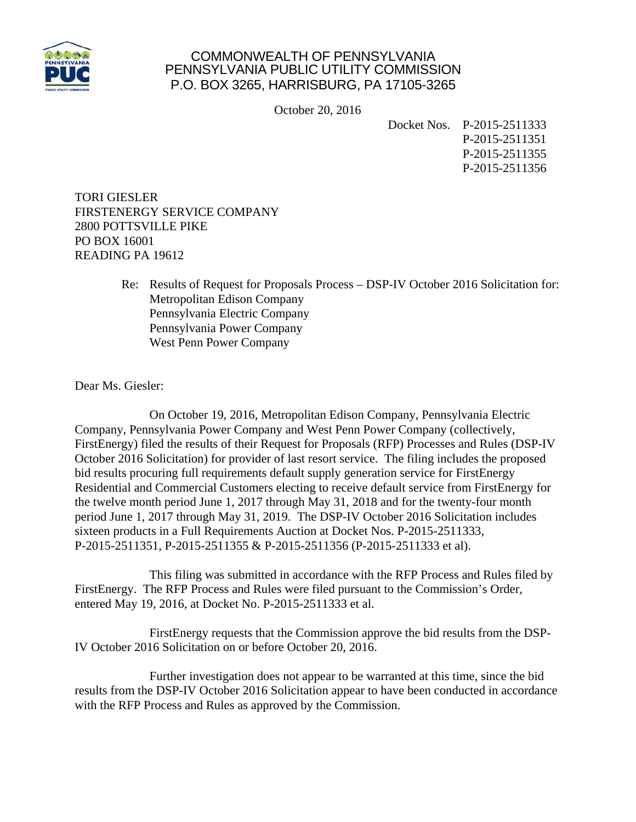

## COMMONWEALTH OF PENNSYLVANIA PENNSYLVANIA PUBLIC UTILITY COMMISSION P.O. BOX 3265, HARRISBURG, PA 17105-3265

October 20, 2016

Docket Nos. P-2015-2511333 P-2015-2511351 P-2015-2511355 P-2015-2511356

TORI GIESLER FIRSTENERGY SERVICE COMPANY 2800 POTTSVILLE PIKE PO BOX 16001 READING PA 19612

> Re: Results of Request for Proposals Process – DSP-IV October 2016 Solicitation for: Metropolitan Edison Company Pennsylvania Electric Company Pennsylvania Power Company West Penn Power Company

Dear Ms. Giesler:

 On October 19, 2016, Metropolitan Edison Company, Pennsylvania Electric Company, Pennsylvania Power Company and West Penn Power Company (collectively, FirstEnergy) filed the results of their Request for Proposals (RFP) Processes and Rules (DSP-IV October 2016 Solicitation) for provider of last resort service. The filing includes the proposed bid results procuring full requirements default supply generation service for FirstEnergy Residential and Commercial Customers electing to receive default service from FirstEnergy for the twelve month period June 1, 2017 through May 31, 2018 and for the twenty-four month period June 1, 2017 through May 31, 2019. The DSP-IV October 2016 Solicitation includes sixteen products in a Full Requirements Auction at Docket Nos. P-2015-2511333, P-2015-2511351, P-2015-2511355 & P-2015-2511356 (P-2015-2511333 et al).

 This filing was submitted in accordance with the RFP Process and Rules filed by FirstEnergy. The RFP Process and Rules were filed pursuant to the Commission's Order, entered May 19, 2016, at Docket No. P-2015-2511333 et al.

 FirstEnergy requests that the Commission approve the bid results from the DSP-IV October 2016 Solicitation on or before October 20, 2016.

 Further investigation does not appear to be warranted at this time, since the bid results from the DSP-IV October 2016 Solicitation appear to have been conducted in accordance with the RFP Process and Rules as approved by the Commission.